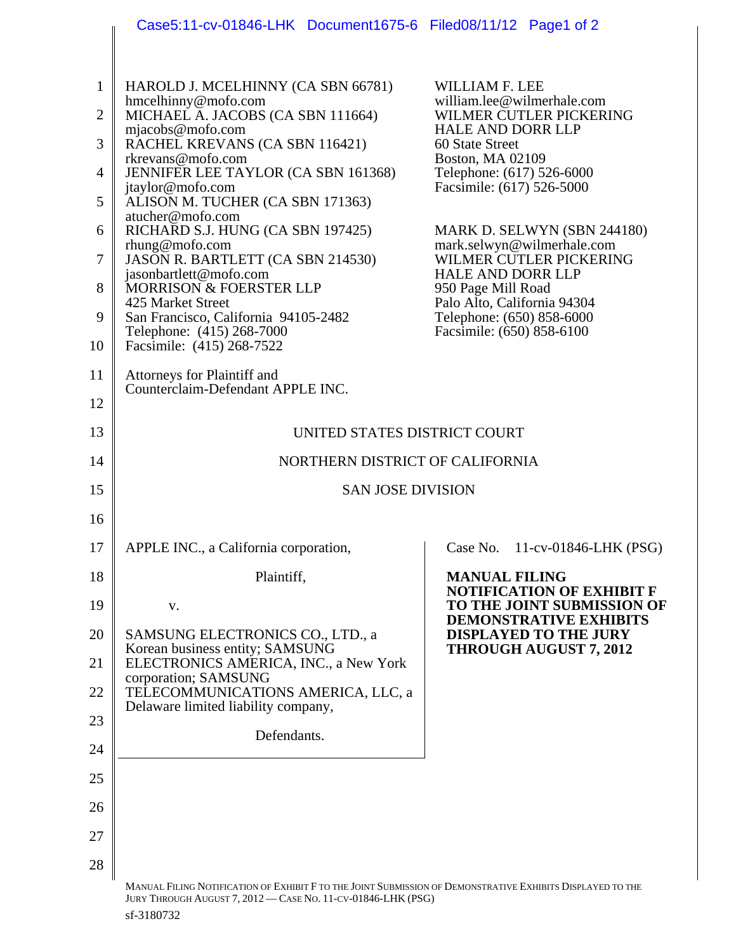|                | Case5:11-cv-01846-LHK Document1675-6 Filed08/11/12 Page1 of 2                                              |                                                                                                 |
|----------------|------------------------------------------------------------------------------------------------------------|-------------------------------------------------------------------------------------------------|
|                |                                                                                                            |                                                                                                 |
| $\mathbf{1}$   | HAROLD J. MCELHINNY (CA SBN 66781)                                                                         | WILLIAM F. LEE                                                                                  |
| $\overline{2}$ | hmcelhinny@mofo.com<br>MICHAEL A. JACOBS (CA SBN 111664)                                                   | william.lee@wilmerhale.com<br>WILMER CUTLER PICKERING                                           |
| 3              | mjacobs@mofo.com<br>RACHEL KREVANS (CA SBN 116421)                                                         | <b>HALE AND DORR LLP</b><br>60 State Street                                                     |
| $\overline{4}$ | rkrevans@mofo.com<br>JENNIFER LEE TAYLOR (CA SBN 161368)                                                   | <b>Boston, MA 02109</b><br>Telephone: (617) 526-6000                                            |
| 5              | jtaylor@mofo.com<br>ALISON M. TUCHER (CA SBN 171363)<br>atucher@mofo.com                                   | Facsimile: (617) 526-5000                                                                       |
| 6              | RICHARD S.J. HUNG (CA SBN 197425)<br>$r$ hung@mofo.com                                                     | MARK D. SELWYN (SBN 244180)<br>mark.selwyn@wilmerhale.com                                       |
| 7              | JASON R. BARTLETT (CA SBN 214530)<br>jasonbartlett@mofo.com                                                | WILMER CUTLER PICKERING<br><b>HALE AND DORR LLP</b>                                             |
| 8              | MORRISON & FOERSTER LLP<br>425 Market Street                                                               | 950 Page Mill Road<br>Palo Alto, California 94304                                               |
| 9              | San Francisco, California 94105-2482<br>Telephone: (415) 268-7000                                          | Telephone: (650) 858-6000<br>Facsimile: (650) 858-6100                                          |
| 10             | Facsimile: (415) 268-7522                                                                                  |                                                                                                 |
| 11             | Attorneys for Plaintiff and<br>Counterclaim-Defendant APPLE INC.                                           |                                                                                                 |
| 12<br>13       |                                                                                                            |                                                                                                 |
| 14             | UNITED STATES DISTRICT COURT<br>NORTHERN DISTRICT OF CALIFORNIA                                            |                                                                                                 |
| 15             | <b>SAN JOSE DIVISION</b>                                                                                   |                                                                                                 |
| 16             |                                                                                                            |                                                                                                 |
| 17             | APPLE INC., a California corporation,                                                                      | Case No.<br>11-cv-01846-LHK (PSG)                                                               |
| 18             | Plaintiff,                                                                                                 | <b>MANUAL FILING</b>                                                                            |
| 19             | V.                                                                                                         | <b>NOTIFICATION OF EXHIBIT F</b><br>TO THE JOINT SUBMISSION OF<br><b>DEMONSTRATIVE EXHIBITS</b> |
| 20             | SAMSUNG ELECTRONICS CO., LTD., a<br>Korean business entity; SAMSUNG                                        | <b>DISPLAYED TO THE JURY</b><br><b>THROUGH AUGUST 7, 2012</b>                                   |
| 21             | ELECTRONICS AMERICA, INC., a New York<br>corporation; SAMSUNG                                              |                                                                                                 |
| 22             | TELECOMMUNICATIONS AMERICA, LLC, a<br>Delaware limited liability company,                                  |                                                                                                 |
| 23             | Defendants.                                                                                                |                                                                                                 |
| 24             |                                                                                                            |                                                                                                 |
| 25             |                                                                                                            |                                                                                                 |
| 26             |                                                                                                            |                                                                                                 |
| 27             |                                                                                                            |                                                                                                 |
| 28             | MANUAL FILING NOTIFICATION OF EXHIBIT F TO THE JOINT SUBMISSION OF DEMONSTRATIVE EXHIBITS DISPLAYED TO THE |                                                                                                 |
|                | JURY THROUGH AUGUST 7, 2012 - CASE NO. 11-CV-01846-LHK (PSG)                                               |                                                                                                 |